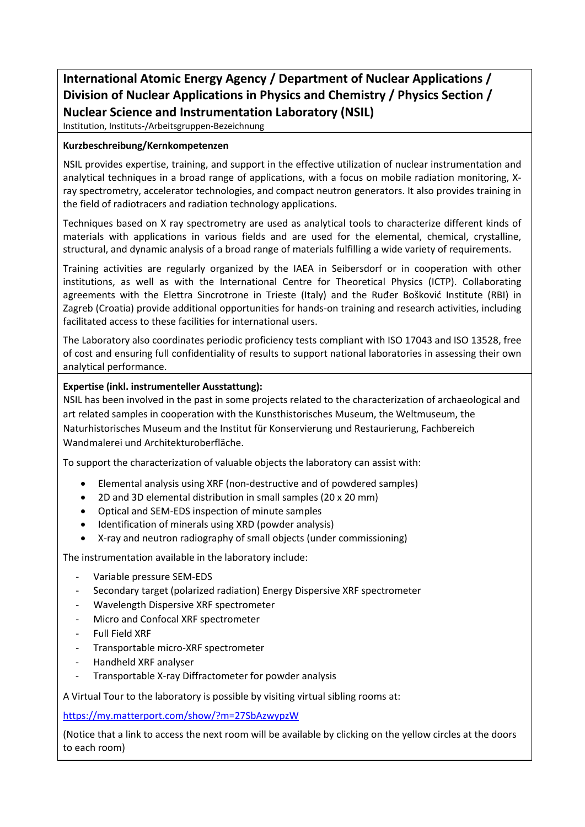## **International Atomic Energy Agency / Department of Nuclear Applications / Division of Nuclear Applications in Physics and Chemistry / Physics Section / Nuclear Science and Instrumentation Laboratory (NSIL)**

Institution, Instituts-/Arbeitsgruppen-Bezeichnung

## **Kurzbeschreibung/Kernkompetenzen**

NSIL provides expertise, training, and support in the effective utilization of nuclear instrumentation and analytical techniques in a broad range of applications, with a focus on mobile radiation monitoring, Xray spectrometry, accelerator technologies, and compact neutron generators. It also provides training in the field of radiotracers and radiation technology applications.

Techniques based on X ray spectrometry are used as analytical tools to characterize different kinds of materials with applications in various fields and are used for the elemental, chemical, crystalline, structural, and dynamic analysis of a broad range of materials fulfilling a wide variety of requirements.

Training activities are regularly organized by the IAEA in Seibersdorf or in cooperation with other institutions, as well as with the International Centre for Theoretical Physics (ICTP). Collaborating agreements with the Elettra Sincrotrone in Trieste (Italy) and the Ruđer Bošković Institute (RBI) in Zagreb (Croatia) provide additional opportunities for hands-on training and research activities, including facilitated access to these facilities for international users.

The Laboratory also coordinates periodic proficiency tests compliant with ISO 17043 and ISO 13528, free of cost and ensuring full confidentiality of results to support national laboratories in assessing their own analytical performance.

## **Expertise (inkl. instrumenteller Ausstattung):**

NSIL has been involved in the past in some projects related to the characterization of archaeological and art related samples in cooperation with the Kunsthistorisches Museum, the Weltmuseum, the Naturhistorisches Museum and the Institut für Konservierung und Restaurierung, Fachbereich Wandmalerei und Architekturoberfläche.

To support the characterization of valuable objects the laboratory can assist with:

- Elemental analysis using XRF (non-destructive and of powdered samples)
- 2D and 3D elemental distribution in small samples (20 x 20 mm)
- Optical and SEM-EDS inspection of minute samples
- Identification of minerals using XRD (powder analysis)
- X-ray and neutron radiography of small objects (under commissioning)

The instrumentation available in the laboratory include:

- Variable pressure SEM-EDS
- Secondary target (polarized radiation) Energy Dispersive XRF spectrometer
- Wavelength Dispersive XRF spectrometer
- Micro and Confocal XRF spectrometer
- Full Field XRF
- Transportable micro-XRF spectrometer
- Handheld XRF analyser
- Transportable X-ray Diffractometer for powder analysis

A Virtual Tour to the laboratory is possible by visiting virtual sibling rooms at:

<https://my.matterport.com/show/?m=27SbAzwypzW>

(Notice that a link to access the next room will be available by clicking on the yellow circles at the doors to each room)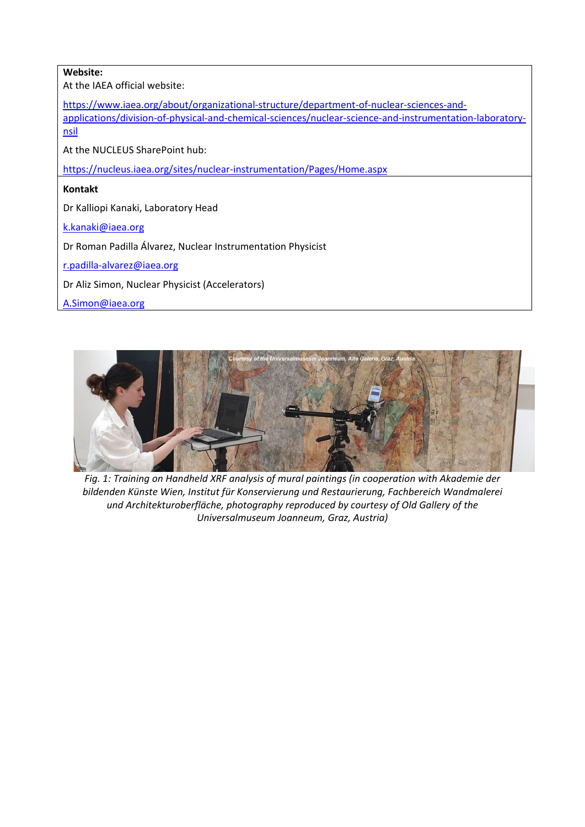| Website:                                                                                                                                                                                                   |
|------------------------------------------------------------------------------------------------------------------------------------------------------------------------------------------------------------|
| At the IAEA official website:                                                                                                                                                                              |
| https://www.iaea.org/about/organizational-structure/department-of-nuclear-sciences-and-<br>applications/division-of-physical-and-chemical-sciences/nuclear-science-and-instrumentation-laboratory-<br>nsil |
| At the NUCLEUS SharePoint hub:                                                                                                                                                                             |
| https://nucleus.iaea.org/sites/nuclear-instrumentation/Pages/Home.aspx                                                                                                                                     |
| <b>Kontakt</b>                                                                                                                                                                                             |
| Dr Kalliopi Kanaki, Laboratory Head                                                                                                                                                                        |
| k.kanaki@iaea.org                                                                                                                                                                                          |
| Dr Roman Padilla Álvarez, Nuclear Instrumentation Physicist                                                                                                                                                |
| r.padilla-alvarez@iaea.org                                                                                                                                                                                 |
| Dr Aliz Simon, Nuclear Physicist (Accelerators)                                                                                                                                                            |
| A.Simon@iaea.org                                                                                                                                                                                           |



*Fig. 1: Training on Handheld XRF analysis of mural paintings (in cooperation with Akademie der bildenden Künste Wien, Institut für Konservierung und Restaurierung, Fachbereich Wandmalerei und Architekturoberfläche, photography reproduced by courtesy of Old Gallery of the Universalmuseum Joanneum, Graz, Austria)*